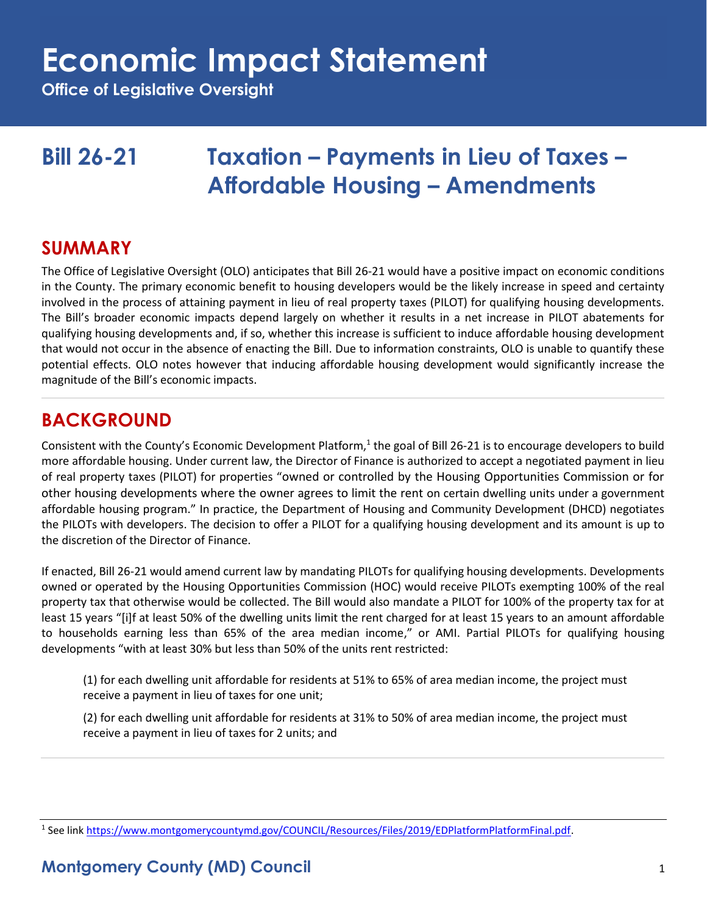**Office of Legislative Oversight**

## **Bill 26-21 Taxation – Payments in Lieu of Taxes – Affordable Housing – Amendments**

### **SUMMARY**

The Office of Legislative Oversight (OLO) anticipates that Bill 26-21 would have a positive impact on economic conditions in the County. The primary economic benefit to housing developers would be the likely increase in speed and certainty involved in the process of attaining payment in lieu of real property taxes (PILOT) for qualifying housing developments. The Bill's broader economic impacts depend largely on whether it results in a net increase in PILOT abatements for qualifying housing developments and, if so, whether this increase is sufficient to induce affordable housing development that would not occur in the absence of enacting the Bill. Due to information constraints, OLO is unable to quantify these potential effects. OLO notes however that inducing affordable housing development would significantly increase the magnitude of the Bill's economic impacts.

### **BACKGROUND**

Consistent with the County's Economic Development Platform,<sup>1</sup> the goal of Bill 26-21 is to encourage developers to build more affordable housing. Under current law, the Director of Finance is authorized to accept a negotiated payment in lieu of real property taxes (PILOT) for properties "owned or controlled by the Housing Opportunities Commission or for other housing developments where the owner agrees to limit the rent on certain dwelling units under a government affordable housing program." In practice, the Department of Housing and Community Development (DHCD) negotiates the PILOTs with developers. The decision to offer a PILOT for a qualifying housing development and its amount is up to the discretion of the Director of Finance.

If enacted, Bill 26-21 would amend current law by mandating PILOTs for qualifying housing developments. Developments owned or operated by the Housing Opportunities Commission (HOC) would receive PILOTs exempting 100% of the real property tax that otherwise would be collected. The Bill would also mandate a PILOT for 100% of the property tax for at least 15 years "[i]f at least 50% of the dwelling units limit the rent charged for at least 15 years to an amount affordable to households earning less than 65% of the area median income," or AMI. Partial PILOTs for qualifying housing developments "with at least 30% but less than 50% of the units rent restricted:

(1) for each dwelling unit affordable for residents at 51% to 65% of area median income, the project must receive a payment in lieu of taxes for one unit;

(2) for each dwelling unit affordable for residents at 31% to 50% of area median income, the project must receive a payment in lieu of taxes for 2 units; and

<sup>&</sup>lt;sup>1</sup> See link [https://www.montgomerycountymd.gov/COUNCIL/Resources/Files/2019/EDPlatformPlatformFinal.pdf.](https://www.montgomerycountymd.gov/COUNCIL/Resources/Files/2019/EDPlatformPlatformFinal.pdf)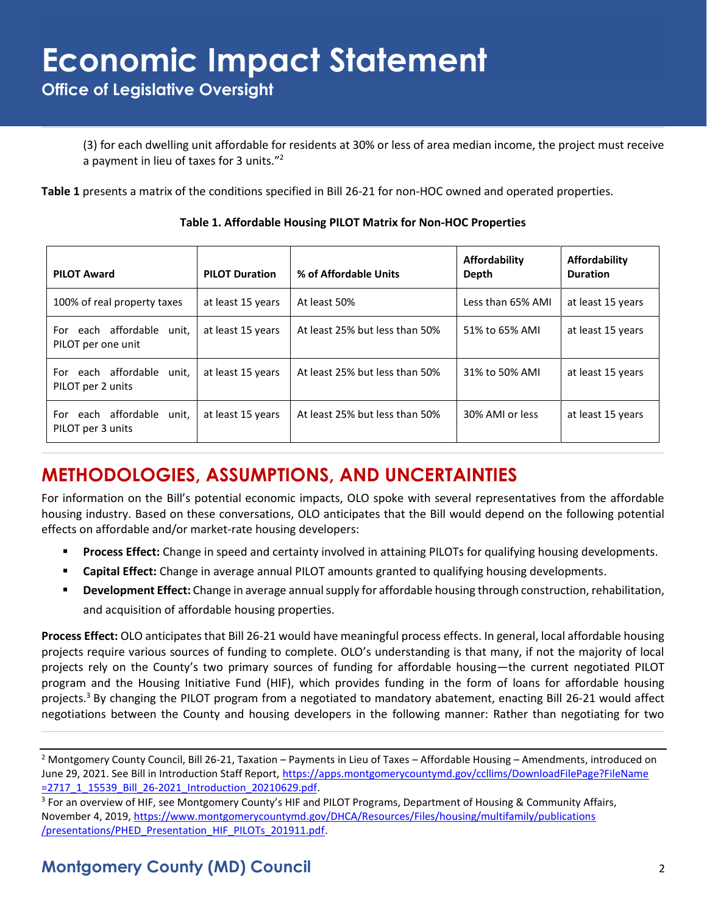**Office of Legislative Oversight**

(3) for each dwelling unit affordable for residents at 30% or less of area median income, the project must receive a payment in lieu of taxes for 3 units."<sup>2</sup>

**Table 1** presents a matrix of the conditions specified in Bill 26-21 for non-HOC owned and operated properties.

| <b>PILOT Award</b>                                 | <b>PILOT Duration</b> | % of Affordable Units          | Affordability<br>Depth | Affordability<br><b>Duration</b> |
|----------------------------------------------------|-----------------------|--------------------------------|------------------------|----------------------------------|
| 100% of real property taxes                        | at least 15 years     | At least 50%                   | Less than 65% AMI      | at least 15 years                |
| For each affordable<br>unit,<br>PILOT per one unit | at least 15 years     | At least 25% but less than 50% | 51% to 65% AMI         | at least 15 years                |
| For each affordable<br>unit.<br>PILOT per 2 units  | at least 15 years     | At least 25% but less than 50% | 31% to 50% AMI         | at least 15 years                |
| For each affordable<br>unit,<br>PILOT per 3 units  | at least 15 years     | At least 25% but less than 50% | 30% AMI or less        | at least 15 years                |

**Table 1. Affordable Housing PILOT Matrix for Non-HOC Properties**

## **METHODOLOGIES, ASSUMPTIONS, AND UNCERTAINTIES**

For information on the Bill's potential economic impacts, OLO spoke with several representatives from the affordable housing industry. Based on these conversations, OLO anticipates that the Bill would depend on the following potential effects on affordable and/or market-rate housing developers:

- Process Effect: Change in speed and certainty involved in attaining PILOTs for qualifying housing developments.
- **Capital Effect:** Change in average annual PILOT amounts granted to qualifying housing developments.
- **Development Effect:** Change in average annual supply for affordable housing through construction, rehabilitation, and acquisition of affordable housing properties.

**Process Effect:** OLO anticipates that Bill 26-21 would have meaningful process effects. In general, local affordable housing projects require various sources of funding to complete. OLO's understanding is that many, if not the majority of local projects rely on the County's two primary sources of funding for affordable housing—the current negotiated PILOT program and the Housing Initiative Fund (HIF), which provides funding in the form of loans for affordable housing projects.<sup>3</sup> By changing the PILOT program from a negotiated to mandatory abatement, enacting Bill 26-21 would affect negotiations between the County and housing developers in the following manner: Rather than negotiating for two

<sup>&</sup>lt;sup>2</sup> Montgomery County Council, Bill 26-21, Taxation – Payments in Lieu of Taxes – Affordable Housing – Amendments, introduced on June 29, 2021. See Bill in Introduction Staff Report, [https://apps.montgomerycountymd.gov/ccllims/DownloadFilePage?FileName](https://apps.montgomerycountymd.gov/ccllims/DownloadFilePage?FileName=2717_1_15539_Bill_26-2021_Introduction_20210629.pdf) [=2717\\_1\\_15539\\_Bill\\_26-2021\\_Introduction\\_20210629.pdf.](https://apps.montgomerycountymd.gov/ccllims/DownloadFilePage?FileName=2717_1_15539_Bill_26-2021_Introduction_20210629.pdf)

<sup>&</sup>lt;sup>3</sup> For an overview of HIF, see Montgomery County's HIF and PILOT Programs, Department of Housing & Community Affairs, November 4, 2019, [https://www.montgomerycountymd.gov/DHCA/Resources/Files/housing/multifamily/publications](https://www.montgomerycountymd.gov/DHCA/Resources/Files/housing/multifamily/publications/presentations/PHED_Presentation_HIF_PILOTs_201911.pdf) [/presentations/PHED\\_Presentation\\_HIF\\_PILOTs\\_201911.pdf.](https://www.montgomerycountymd.gov/DHCA/Resources/Files/housing/multifamily/publications/presentations/PHED_Presentation_HIF_PILOTs_201911.pdf)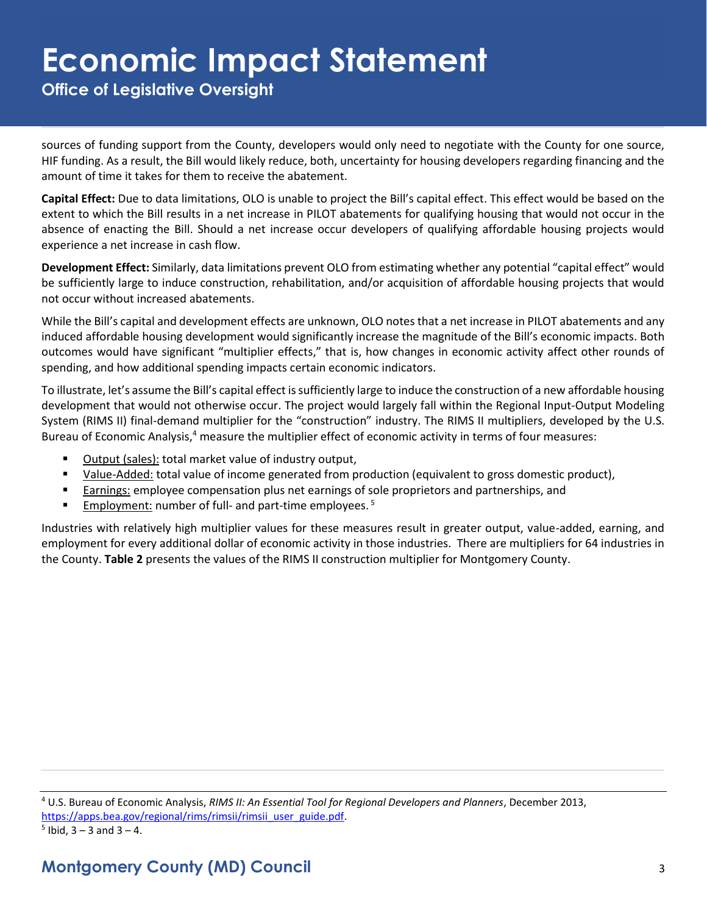**Office of Legislative Oversight**

sources of funding support from the County, developers would only need to negotiate with the County for one source, HIF funding. As a result, the Bill would likely reduce, both, uncertainty for housing developers regarding financing and the amount of time it takes for them to receive the abatement.

**Capital Effect:** Due to data limitations, OLO is unable to project the Bill's capital effect. This effect would be based on the extent to which the Bill results in a net increase in PILOT abatements for qualifying housing that would not occur in the absence of enacting the Bill. Should a net increase occur developers of qualifying affordable housing projects would experience a net increase in cash flow.

**Development Effect:** Similarly, data limitations prevent OLO from estimating whether any potential "capital effect" would be sufficiently large to induce construction, rehabilitation, and/or acquisition of affordable housing projects that would not occur without increased abatements.

While the Bill's capital and development effects are unknown, OLO notes that a net increase in PILOT abatements and any induced affordable housing development would significantly increase the magnitude of the Bill's economic impacts. Both outcomes would have significant "multiplier effects," that is, how changes in economic activity affect other rounds of spending, and how additional spending impacts certain economic indicators.

To illustrate, let's assume the Bill's capital effect is sufficiently large to induce the construction of a new affordable housing development that would not otherwise occur. The project would largely fall within the Regional Input-Output Modeling System (RIMS II) final-demand multiplier for the "construction" industry. The RIMS II multipliers, developed by the U.S. Bureau of Economic Analysis,<sup>4</sup> measure the multiplier effect of economic activity in terms of four measures:

- Output (sales): total market value of industry output,
- Value-Added: total value of income generated from production (equivalent to gross domestic product),
- **Earnings: employee compensation plus net earnings of sole proprietors and partnerships, and partnerships**
- **Employment:** number of full- and part-time employees.<sup>5</sup>

Industries with relatively high multiplier values for these measures result in greater output, value-added, earning, and employment for every additional dollar of economic activity in those industries. There are multipliers for 64 industries in the County. **Table 2** presents the values of the RIMS II construction multiplier for Montgomery County.

<sup>4</sup> U.S. Bureau of Economic Analysis, *RIMS II: An Essential Tool for Regional Developers and Planners*, December 2013, [https://apps.bea.gov/regional/rims/rimsii/rimsii\\_user\\_guide.pdf.](https://apps.bea.gov/regional/rims/rimsii/rimsii_user_guide.pdf)

 $5$  Ibid,  $3 - 3$  and  $3 - 4$ .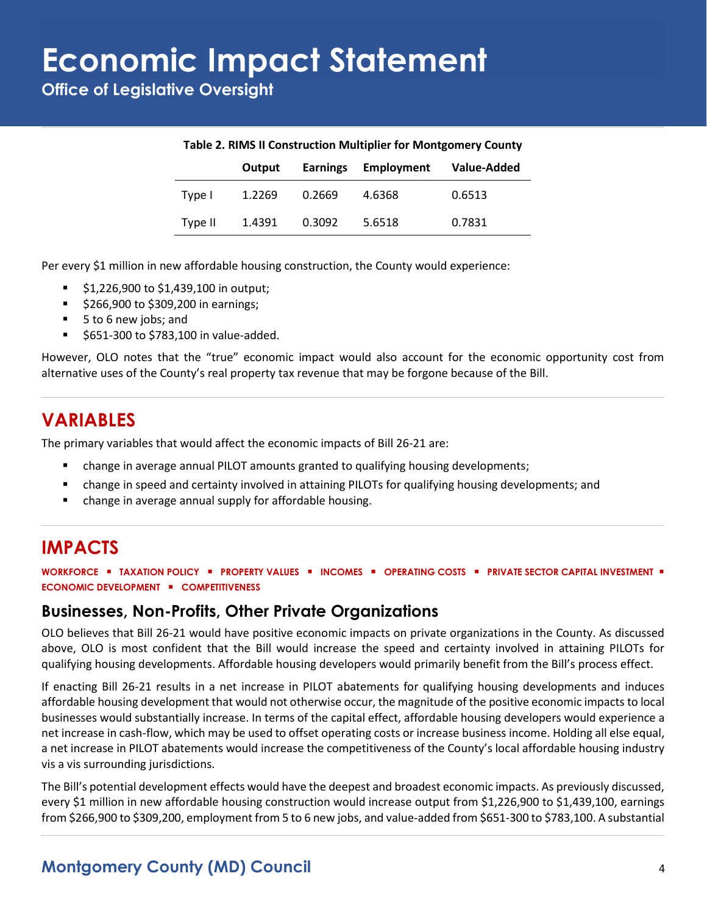**Office of Legislative Oversight**

| Table 2. RIMS II Construction Multiplier for Montgomery County |        |                 |                   |             |  |  |
|----------------------------------------------------------------|--------|-----------------|-------------------|-------------|--|--|
|                                                                | Output | <b>Earnings</b> | <b>Employment</b> | Value-Added |  |  |
| Type I                                                         | 1.2269 | 0.2669          | 4.6368            | 0.6513      |  |  |
| Type II                                                        | 1.4391 | 0.3092          | 5.6518            | 0.7831      |  |  |

#### **Table 2. RIMS II Construction Multiplier for Montgomery County**

Per every \$1 million in new affordable housing construction, the County would experience:

- \$1,226,900 to \$1,439,100 in output;
- \$266,900 to \$309,200 in earnings;
- 5 to 6 new jobs; and
- \$651-300 to \$783,100 in value-added.

However, OLO notes that the "true" economic impact would also account for the economic opportunity cost from alternative uses of the County's real property tax revenue that may be forgone because of the Bill.

### **VARIABLES**

The primary variables that would affect the economic impacts of Bill 26-21 are:

- change in average annual PILOT amounts granted to qualifying housing developments;
- change in speed and certainty involved in attaining PILOTs for qualifying housing developments; and
- change in average annual supply for affordable housing.

## **IMPACTS**

**WORKFORCE** ▪ **TAXATION POLICY** ▪ **PROPERTY VALUES** ▪ **INCOMES** ▪ **OPERATING COSTS** ▪ **PRIVATE SECTOR CAPITAL INVESTMENT** ▪ **ECONOMIC DEVELOPMENT** ▪ **COMPETITIVENESS**

#### **Businesses, Non-Profits, Other Private Organizations**

OLO believes that Bill 26-21 would have positive economic impacts on private organizations in the County. As discussed above, OLO is most confident that the Bill would increase the speed and certainty involved in attaining PILOTs for qualifying housing developments. Affordable housing developers would primarily benefit from the Bill's process effect.

If enacting Bill 26-21 results in a net increase in PILOT abatements for qualifying housing developments and induces affordable housing development that would not otherwise occur, the magnitude of the positive economic impacts to local businesses would substantially increase. In terms of the capital effect, affordable housing developers would experience a net increase in cash-flow, which may be used to offset operating costs or increase business income. Holding all else equal, a net increase in PILOT abatements would increase the competitiveness of the County's local affordable housing industry vis a vis surrounding jurisdictions.

The Bill's potential development effects would have the deepest and broadest economic impacts. As previously discussed, every \$1 million in new affordable housing construction would increase output from \$1,226,900 to \$1,439,100, earnings from \$266,900 to \$309,200, employment from 5 to 6 new jobs, and value-added from \$651-300 to \$783,100. A substantial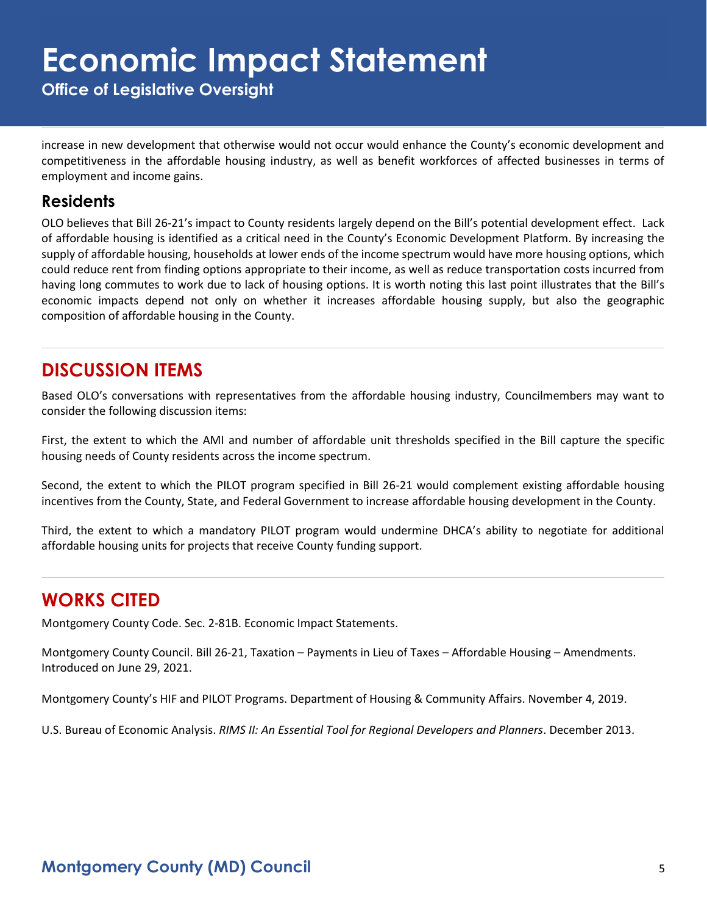**Office of Legislative Oversight**

increase in new development that otherwise would not occur would enhance the County's economic development and competitiveness in the affordable housing industry, as well as benefit workforces of affected businesses in terms of employment and income gains.

#### **Residents**

OLO believes that Bill 26-21's impact to County residents largely depend on the Bill's potential development effect. Lack of affordable housing is identified as a critical need in the County's Economic Development Platform. By increasing the supply of affordable housing, households at lower ends of the income spectrum would have more housing options, which could reduce rent from finding options appropriate to their income, as well as reduce transportation costs incurred from having long commutes to work due to lack of housing options. It is worth noting this last point illustrates that the Bill's economic impacts depend not only on whether it increases affordable housing supply, but also the geographic composition of affordable housing in the County.

### **DISCUSSION ITEMS**

Based OLO's conversations with representatives from the affordable housing industry, Councilmembers may want to consider the following discussion items:

First, the extent to which the AMI and number of affordable unit thresholds specified in the Bill capture the specific housing needs of County residents across the income spectrum.

Second, the extent to which the PILOT program specified in Bill 26-21 would complement existing affordable housing incentives from the County, State, and Federal Government to increase affordable housing development in the County.

Third, the extent to which a mandatory PILOT program would undermine DHCA's ability to negotiate for additional affordable housing units for projects that receive County funding support.

### **WORKS CITED**

Montgomery County Code. Sec. 2-81B. Economic Impact Statements.

Montgomery County Council. Bill 26-21, Taxation – Payments in Lieu of Taxes – Affordable Housing – Amendments. Introduced on June 29, 2021.

Montgomery County's HIF and PILOT Programs. Department of Housing & Community Affairs. November 4, 2019.

U.S. Bureau of Economic Analysis. *RIMS II: An Essential Tool for Regional Developers and Planners*. December 2013.